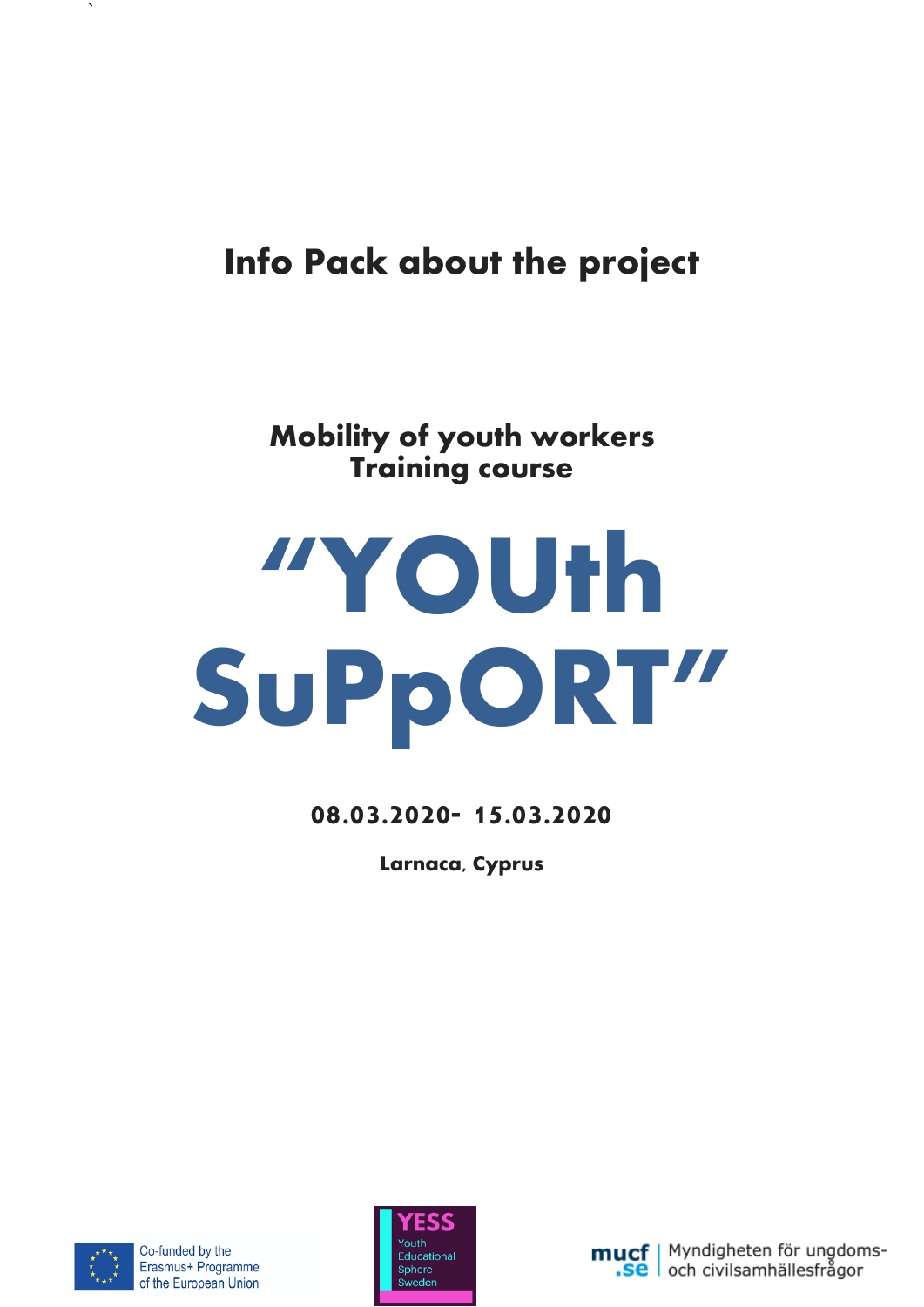# **Info Pack about the project**

## **Mobility of youth workers Training course**

# **"YOUth SuPpORT"**

**08.03.2020- 15.03.2020**

**Larnaca, Cyprus**



 $\ddot{\phantom{0}}$ 



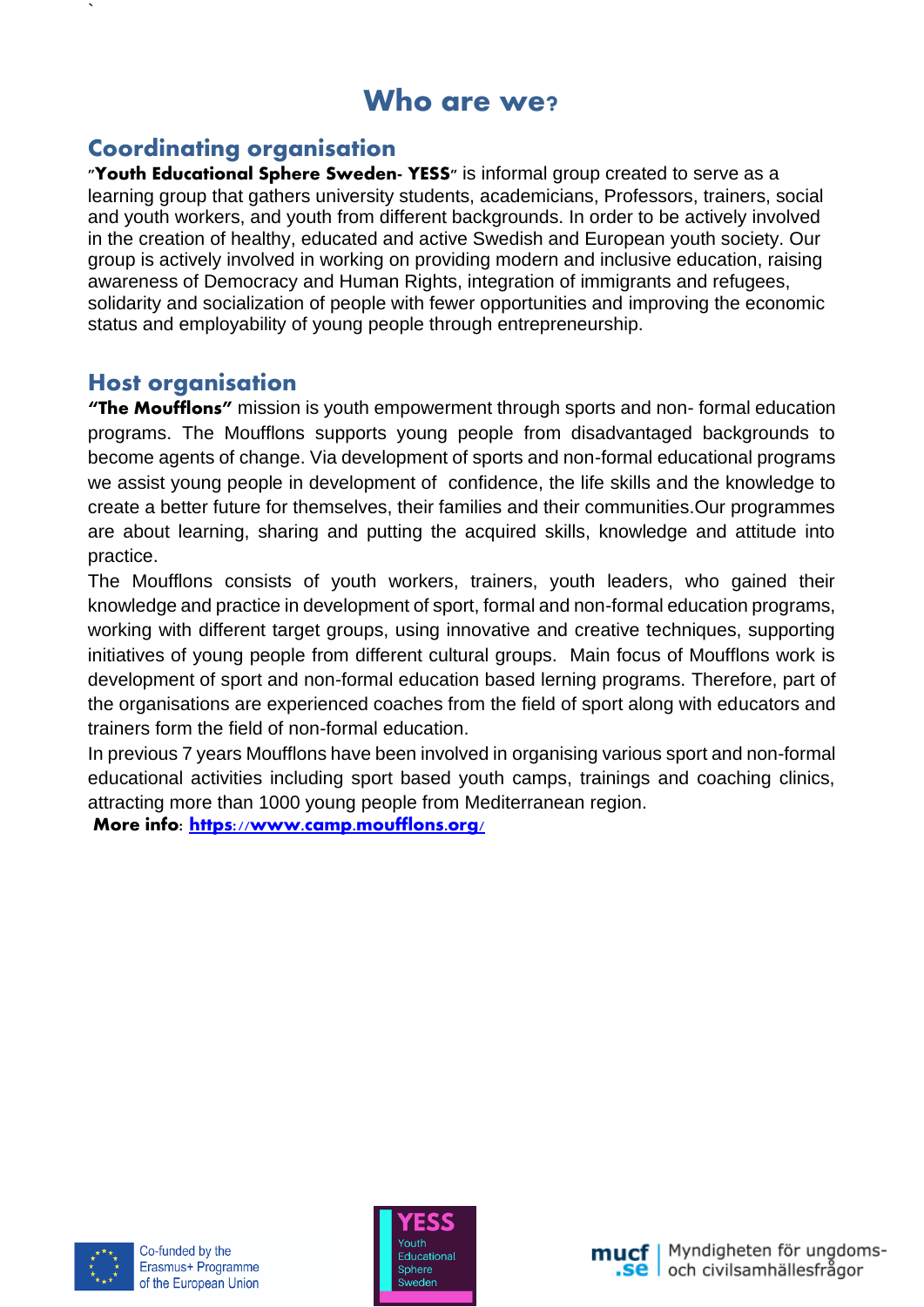## **Who are we?**

## **Coordinating organisation**

**"Youth Educational Sphere Sweden- YESS"** is informal group created to serve as a learning group that gathers university students, academicians, Professors, trainers, social and youth workers, and youth from different backgrounds. In order to be actively involved in the creation of healthy, educated and active Swedish and European youth society. Our group is actively involved in working on providing modern and inclusive education, raising awareness of Democracy and Human Rights, integration of immigrants and refugees, solidarity and socialization of people with fewer opportunities and improving the economic status and employability of young people through entrepreneurship.

### **Host organisation**

`

**"The Moufflons"** mission is youth empowerment through sports and non- formal education programs. The Moufflons supports young people from disadvantaged backgrounds to become agents of change. Via development of sports and non-formal educational programs we assist young people in development of confidence, the life skills and the knowledge to create a better future for themselves, their families and their communities.Our programmes are about learning, sharing and putting the acquired skills, knowledge and attitude into practice.

The Moufflons consists of youth workers, trainers, youth leaders, who gained their knowledge and practice in development of sport, formal and non-formal education programs, working with different target groups, using innovative and creative techniques, supporting initiatives of young people from different cultural groups. Main focus of Moufflons work is development of sport and non-formal education based lerning programs. Therefore, part of the organisations are experienced coaches from the field of sport along with educators and trainers form the field of non-formal education.

In previous 7 years Moufflons have been involved in organising various sport and non-formal educational activities including sport based youth camps, trainings and coaching clinics, attracting more than 1000 young people from Mediterranean region.

**More info:<https://www.camp.moufflons.org/>**





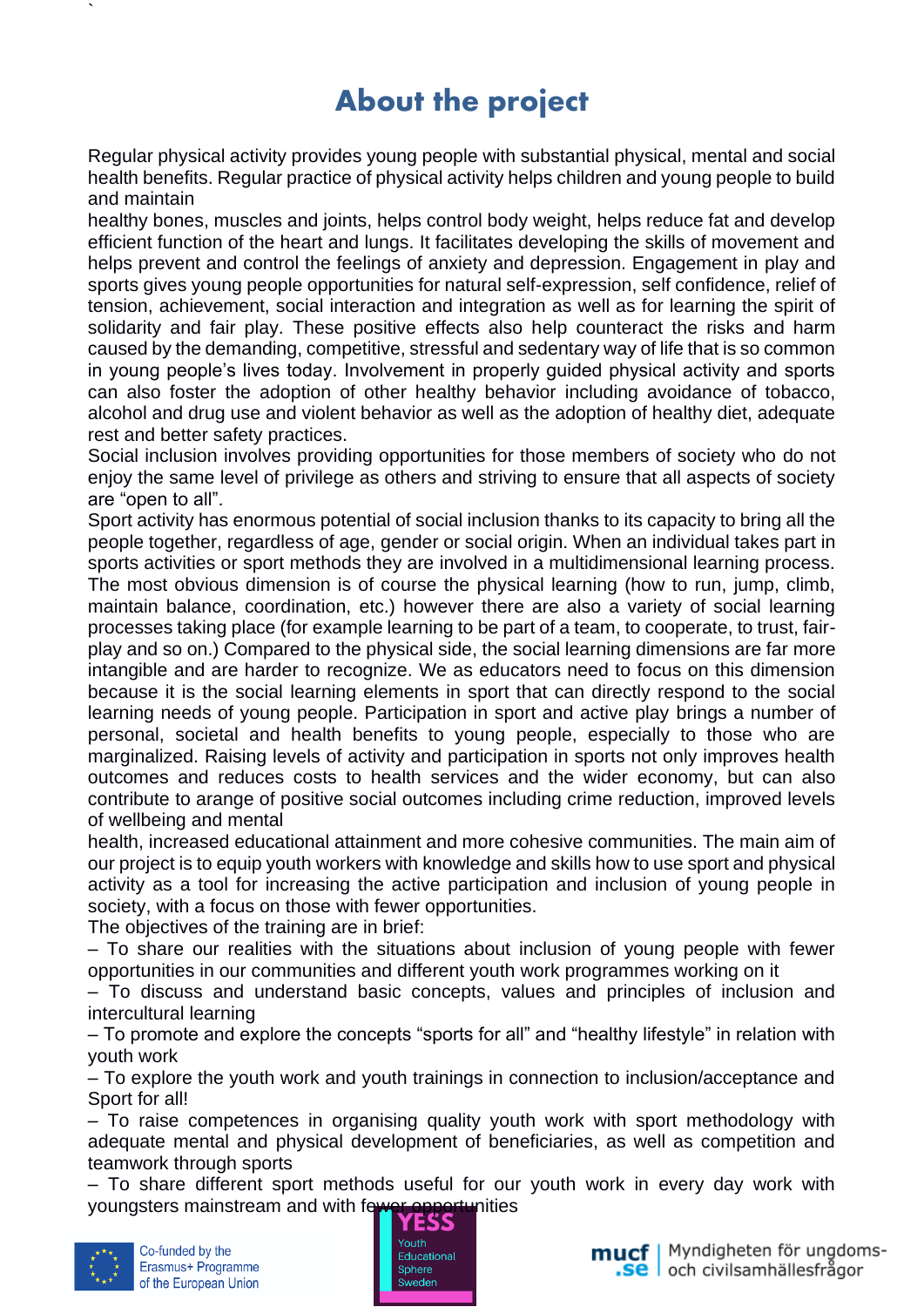## **About the project**

Regular physical activity provides young people with substantial physical, mental and social health benefits. Regular practice of physical activity helps children and young people to build and maintain

healthy bones, muscles and joints, helps control body weight, helps reduce fat and develop efficient function of the heart and lungs. It facilitates developing the skills of movement and helps prevent and control the feelings of anxiety and depression. Engagement in play and sports gives young people opportunities for natural self-expression, self confidence, relief of tension, achievement, social interaction and integration as well as for learning the spirit of solidarity and fair play. These positive effects also help counteract the risks and harm caused by the demanding, competitive, stressful and sedentary way of life that is so common in young people's lives today. Involvement in properly guided physical activity and sports can also foster the adoption of other healthy behavior including avoidance of tobacco, alcohol and drug use and violent behavior as well as the adoption of healthy diet, adequate rest and better safety practices.

Social inclusion involves providing opportunities for those members of society who do not enjoy the same level of privilege as others and striving to ensure that all aspects of society are "open to all".

Sport activity has enormous potential of social inclusion thanks to its capacity to bring all the people together, regardless of age, gender or social origin. When an individual takes part in sports activities or sport methods they are involved in a multidimensional learning process. The most obvious dimension is of course the physical learning (how to run, jump, climb, maintain balance, coordination, etc.) however there are also a variety of social learning processes taking place (for example learning to be part of a team, to cooperate, to trust, fairplay and so on.) Compared to the physical side, the social learning dimensions are far more intangible and are harder to recognize. We as educators need to focus on this dimension because it is the social learning elements in sport that can directly respond to the social learning needs of young people. Participation in sport and active play brings a number of personal, societal and health benefits to young people, especially to those who are marginalized. Raising levels of activity and participation in sports not only improves health outcomes and reduces costs to health services and the wider economy, but can also contribute to arange of positive social outcomes including crime reduction, improved levels of wellbeing and mental

health, increased educational attainment and more cohesive communities. The main aim of our project is to equip youth workers with knowledge and skills how to use sport and physical activity as a tool for increasing the active participation and inclusion of young people in society, with a focus on those with fewer opportunities.

The objectives of the training are in brief:

– To share our realities with the situations about inclusion of young people with fewer opportunities in our communities and different youth work programmes working on it

– To discuss and understand basic concepts, values and principles of inclusion and intercultural learning

– To promote and explore the concepts "sports for all" and "healthy lifestyle" in relation with youth work

– To explore the youth work and youth trainings in connection to inclusion/acceptance and Sport for all!

– To raise competences in organising quality youth work with sport methodology with adequate mental and physical development of beneficiaries, as well as competition and teamwork through sports

– To share different sport methods useful for our youth work in every day work with youngsters mainstream and with fewer opportunities



`



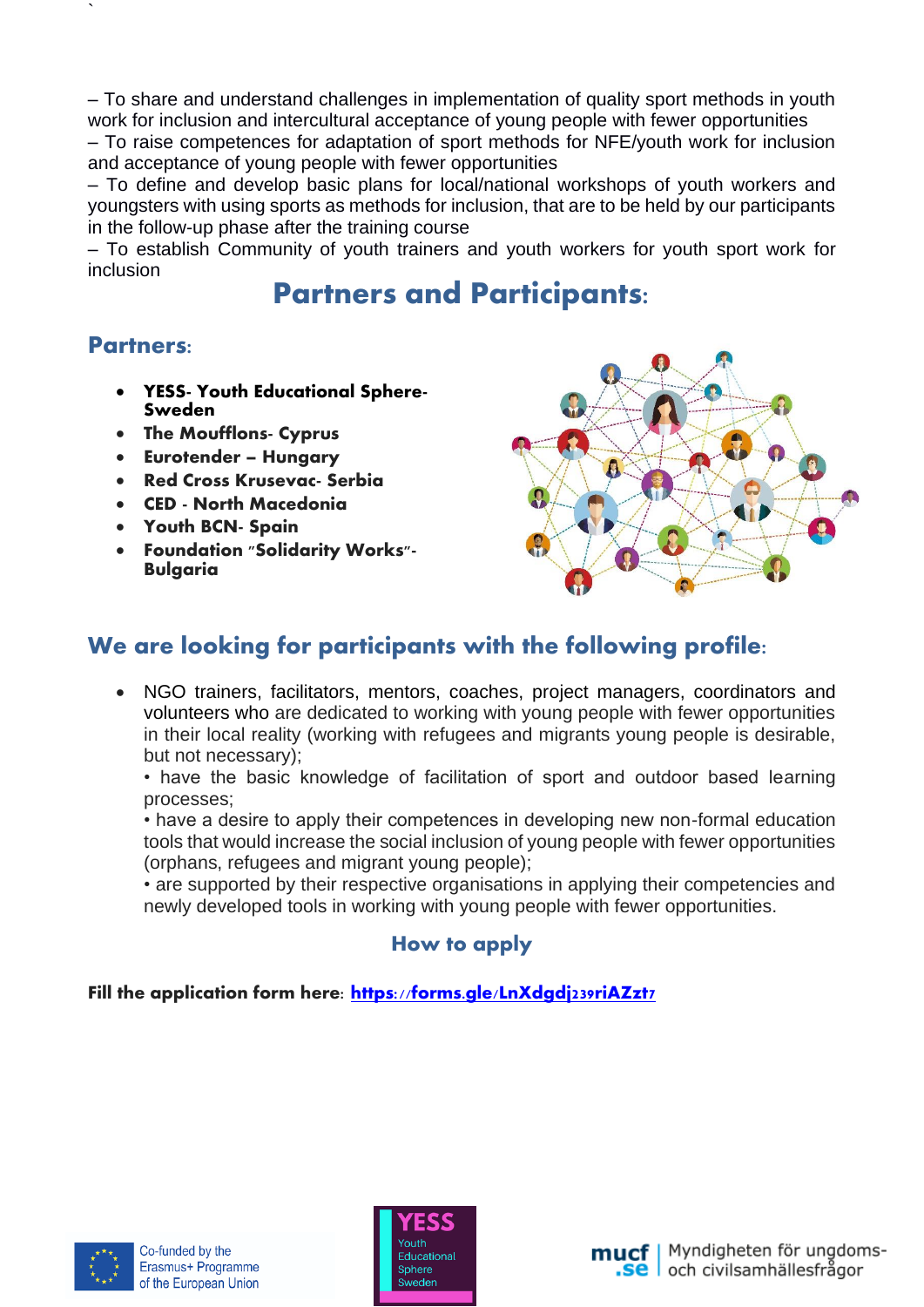– To share and understand challenges in implementation of quality sport methods in youth work for inclusion and intercultural acceptance of young people with fewer opportunities – To raise competences for adaptation of sport methods for NFE/youth work for inclusion

and acceptance of young people with fewer opportunities – To define and develop basic plans for local/national workshops of youth workers and youngsters with using sports as methods for inclusion, that are to be held by our participants in the follow-up phase after the training course

– To establish Community of youth trainers and youth workers for youth sport work for inclusion

## **Partners and Participants:**

### **Partners:**

`

- **YESS- Youth Educational Sphere-Sweden**
- **The Moufflons- Cyprus**
- **Eurotender – Hungary**
- **Red Cross Krusevac- Serbia**
- **CED - North Macedonia**
- **Youth BCN- Spain**
- **Foundation "Solidarity Works"- Bulgaria**



## **We are looking for participants with the following profile:**

• NGO trainers, facilitators, mentors, coaches, project managers, coordinators and volunteers who are dedicated to working with young people with fewer opportunities in their local reality (working with refugees and migrants young people is desirable, but not necessary);

• have the basic knowledge of facilitation of sport and outdoor based learning processes;

• have a desire to apply their competences in developing new non-formal education tools that would increase the social inclusion of young people with fewer opportunities (orphans, refugees and migrant young people);

• are supported by their respective organisations in applying their competencies and newly developed tools in working with young people with fewer opportunities.

#### **How to apply**

**Fill the application form here:<https://forms.gle/LnXdgdj239riAZzt7>**





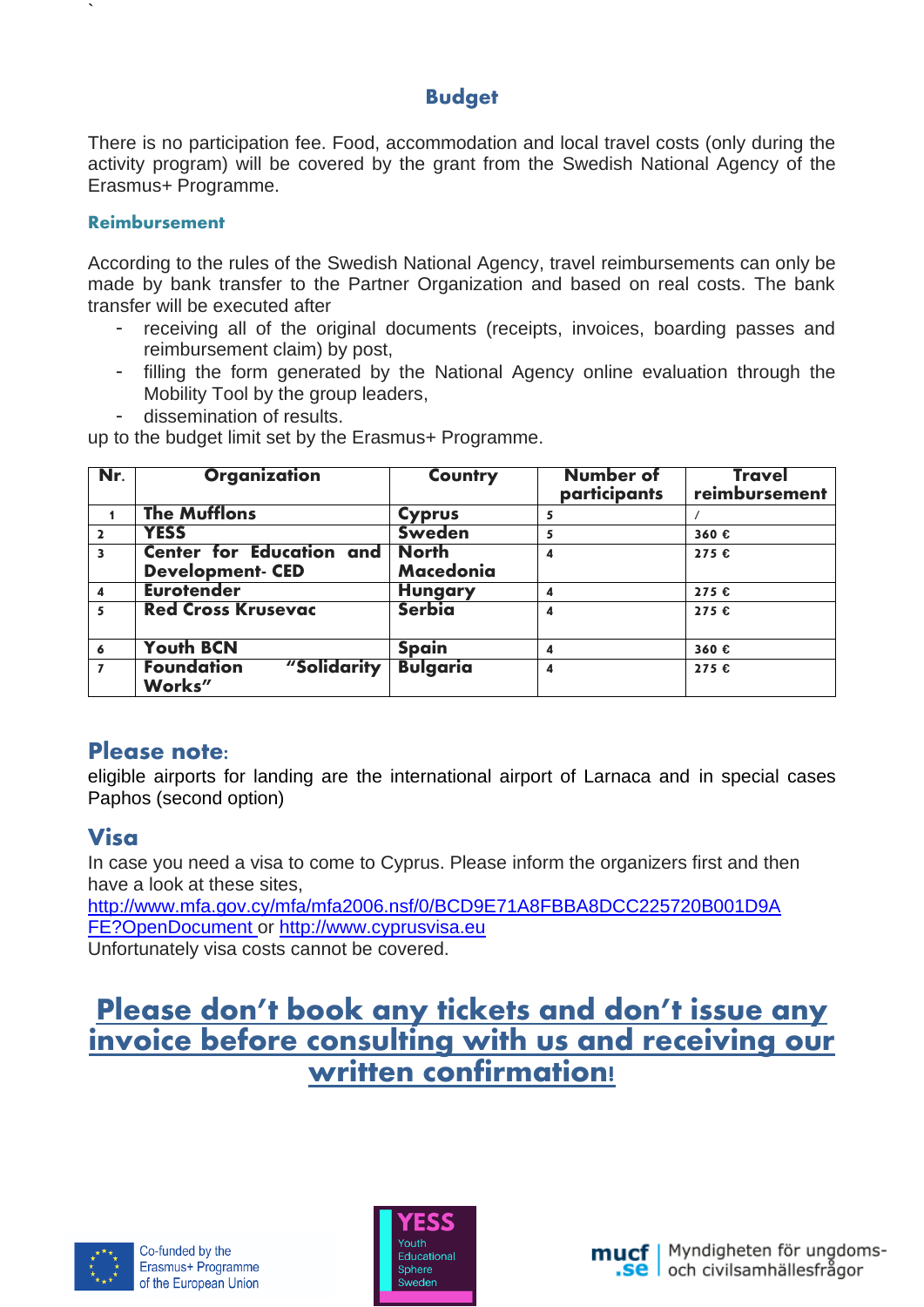#### **Budget**

There is no participation fee. Food, accommodation and local travel costs (only during the activity program) will be covered by the grant from the Swedish National Agency of the Erasmus+ Programme.

#### **Reimbursement**

`

According to the rules of the Swedish National Agency, travel reimbursements can only be made by bank transfer to the Partner Organization and based on real costs. The bank transfer will be executed after

- receiving all of the original documents (receipts, invoices, boarding passes and reimbursement claim) by post,
- filling the form generated by the National Agency online evaluation through the Mobility Tool by the group leaders,
- dissemination of results.

up to the budget limit set by the Erasmus+ Programme.

| Nr.                     | <b>Organization</b>                                 | Country                          | <b>Number</b> of<br>participants | Travel<br>reimbursement |
|-------------------------|-----------------------------------------------------|----------------------------------|----------------------------------|-------------------------|
|                         | <b>The Mufflons</b>                                 | Cyprus                           | 5                                |                         |
| $\overline{\mathbf{2}}$ | <b>YESS</b>                                         | <b>Sweden</b>                    | 5                                | 360€                    |
| $\overline{\mathbf{3}}$ | Center for Education and<br><b>Development- CED</b> | <b>North</b><br><b>Macedonia</b> | 4                                | 275 €                   |
| $\overline{\mathbf{4}}$ | <b>Eurotender</b>                                   | <b>Hungary</b>                   | 4                                | 275€                    |
| 5                       | <b>Red Cross Krusevac</b>                           | Serbia                           | 4                                | 275 €                   |
| 6                       | <b>Youth BCN</b>                                    | <b>Spain</b>                     | 4                                | 360€                    |
|                         | <b>Foundation</b><br>"Solidarity<br>Works"          | <b>Bulgaria</b>                  | 4                                | 275 €                   |

#### **Please note:**

eligible airports for landing are the international airport of Larnaca and in special cases Paphos (second option)

## **Visa**

In case you need a visa to come to Cyprus. Please inform the organizers first and then have a look at these sites,

http://www.mfa.gov.cy/mfa/mfa2006.nsf/0/BCD9E71A8FBBA8DCC225720B001D9A FE?OpenDocument or [http://www.cyprusvisa.eu](http://www.cyprusvisa.eu/)

Unfortunately visa costs cannot be covered.

## **Please don't book any tickets and don't issue any invoice before consulting with us and receiving our written confirmation!**